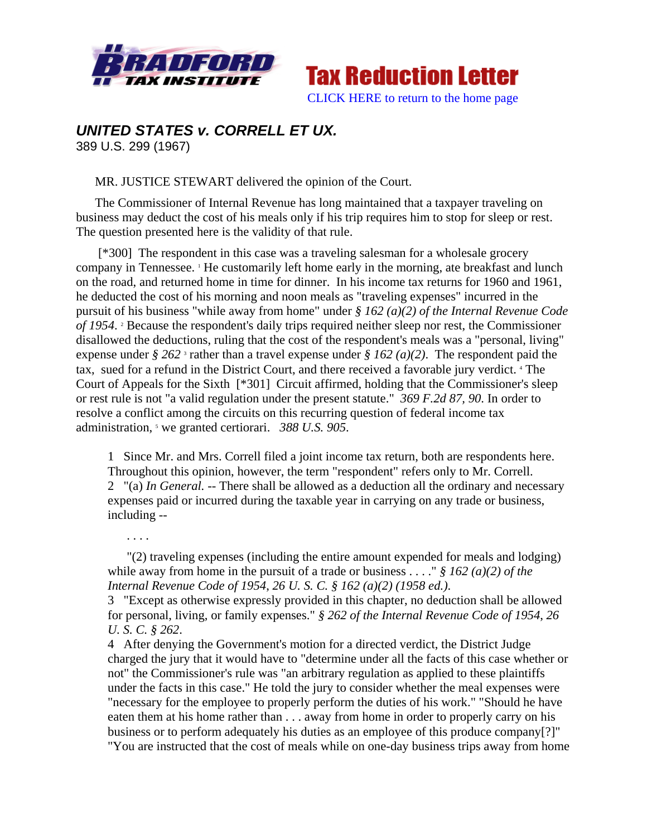



## *UNITED STATES v. CORRELL ET UX.*

389 U.S. 299 (1967)

. . . .

MR. JUSTICE STEWART delivered the opinion of the Court.

The Commissioner of Internal Revenue has long maintained that a taxpayer traveling on business may deduct the cost of his meals only if his trip requires him to stop for sleep or rest. The question presented here is the validity of that rule.

 [\*300] The respondent in this case was a traveling salesman for a wholesale grocery company in Tennessee. <sup>1</sup> He customarily left home early in the morning, ate breakfast and lunch on the road, and returned home in time for dinner. In his income tax returns for 1960 and 1961, he deducted the cost of his morning and noon meals as "traveling expenses" incurred in the pursuit of his business "while away from home" under *§ 162 (a)(2) of the Internal Revenue Code*  of 1954.<sup>2</sup> Because the respondent's daily trips required neither sleep nor rest, the Commissioner disallowed the deductions, ruling that the cost of the respondent's meals was a "personal, living" expense under  $\frac{8}{9}$  262<sup>3</sup> rather than a travel expense under  $\frac{8}{9}$  162 (a)(2). The respondent paid the tax, sued for a refund in the District Court, and there received a favorable jury verdict. 4 The Court of Appeals for the Sixth [\*301] Circuit affirmed, holding that the Commissioner's sleep or rest rule is not "a valid regulation under the present statute." *369 F.2d 87, 90*. In order to resolve a conflict among the circuits on this recurring question of federal income tax administration, <sup>5</sup> we granted certiorari. 388 U.S. 905.

1 Since Mr. and Mrs. Correll filed a joint income tax return, both are respondents here. Throughout this opinion, however, the term "respondent" refers only to Mr. Correll. 2 "(a) *In General.* -- There shall be allowed as a deduction all the ordinary and necessary expenses paid or incurred during the taxable year in carrying on any trade or business, including --

"(2) traveling expenses (including the entire amount expended for meals and lodging) while away from home in the pursuit of a trade or business . . . ." *§ 162 (a)(2) of the Internal Revenue Code of 1954*, *26 U. S. C. § 162 (a)(2) (1958 ed.)*.

3 "Except as otherwise expressly provided in this chapter, no deduction shall be allowed for personal, living, or family expenses." *§ 262 of the Internal Revenue Code of 1954*, *26 U. S. C. § 262*.

4 After denying the Government's motion for a directed verdict, the District Judge charged the jury that it would have to "determine under all the facts of this case whether or not" the Commissioner's rule was "an arbitrary regulation as applied to these plaintiffs under the facts in this case." He told the jury to consider whether the meal expenses were "necessary for the employee to properly perform the duties of his work." "Should he have eaten them at his home rather than . . . away from home in order to properly carry on his business or to perform adequately his duties as an employee of this produce company[?]" "You are instructed that the cost of meals while on one-day business trips away from home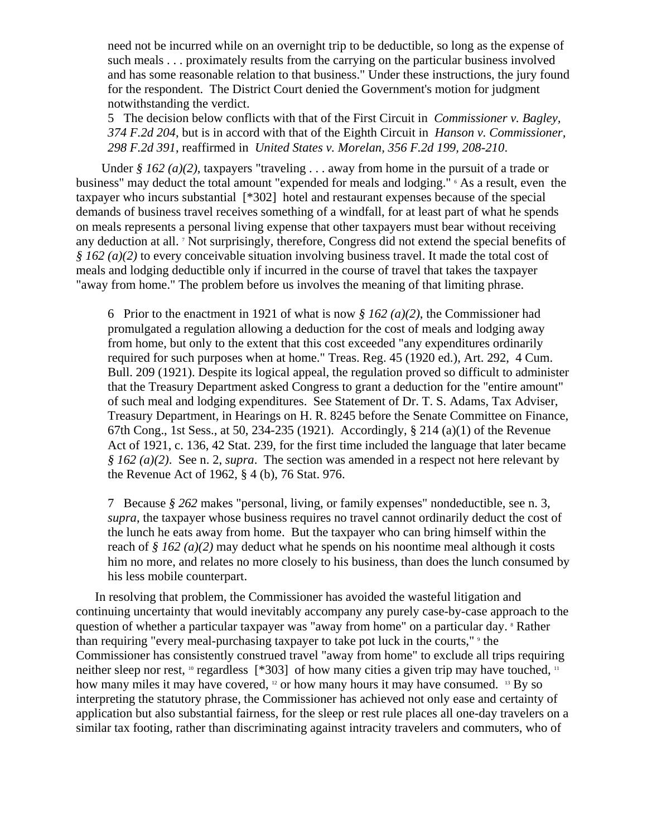need not be incurred while on an overnight trip to be deductible, so long as the expense of such meals . . . proximately results from the carrying on the particular business involved and has some reasonable relation to that business." Under these instructions, the jury found for the respondent. The District Court denied the Government's motion for judgment notwithstanding the verdict.

5 The decision below conflicts with that of the First Circuit in *Commissioner v. Bagley, 374 F.2d 204*, but is in accord with that of the Eighth Circuit in *Hanson v. Commissioner, 298 F.2d 391*, reaffirmed in *United States v. Morelan, 356 F.2d 199, 208-210*.

Under *§ 162 (a)(2)*, taxpayers "traveling . . . away from home in the pursuit of a trade or business" may deduct the total amount "expended for meals and lodging." <sup>6</sup> As a result, even the taxpayer who incurs substantial [\*302] hotel and restaurant expenses because of the special demands of business travel receives something of a windfall, for at least part of what he spends on meals represents a personal living expense that other taxpayers must bear without receiving any deduction at all. <sup>7</sup> Not surprisingly, therefore, Congress did not extend the special benefits of *§ 162 (a)(2)* to every conceivable situation involving business travel. It made the total cost of meals and lodging deductible only if incurred in the course of travel that takes the taxpayer "away from home." The problem before us involves the meaning of that limiting phrase.

6 Prior to the enactment in 1921 of what is now *§ 162 (a)(2)*, the Commissioner had promulgated a regulation allowing a deduction for the cost of meals and lodging away from home, but only to the extent that this cost exceeded "any expenditures ordinarily required for such purposes when at home." Treas. Reg. 45 (1920 ed.), Art. 292, 4 Cum. Bull. 209 (1921). Despite its logical appeal, the regulation proved so difficult to administer that the Treasury Department asked Congress to grant a deduction for the "entire amount" of such meal and lodging expenditures. See Statement of Dr. T. S. Adams, Tax Adviser, Treasury Department, in Hearings on H. R. 8245 before the Senate Committee on Finance, 67th Cong., 1st Sess., at 50, 234-235 (1921). Accordingly, § 214 (a)(1) of the Revenue Act of 1921, c. 136, 42 Stat. 239, for the first time included the language that later became *§ 162 (a)(2)*. See n. 2, *supra*. The section was amended in a respect not here relevant by the Revenue Act of 1962, § 4 (b), 76 Stat. 976.

7 Because *§ 262* makes "personal, living, or family expenses" nondeductible, see n. 3, *supra*, the taxpayer whose business requires no travel cannot ordinarily deduct the cost of the lunch he eats away from home. But the taxpayer who can bring himself within the reach of *§ 162 (a)(2)* may deduct what he spends on his noontime meal although it costs him no more, and relates no more closely to his business, than does the lunch consumed by his less mobile counterpart.

In resolving that problem, the Commissioner has avoided the wasteful litigation and continuing uncertainty that would inevitably accompany any purely case-by-case approach to the question of whether a particular taxpayer was "away from home" on a particular day. <sup>8</sup> Rather than requiring "every meal-purchasing taxpayer to take pot luck in the courts," <sup>9</sup> the Commissioner has consistently construed travel "away from home" to exclude all trips requiring neither sleep nor rest,  $\log$  regardless [\*303] of how many cities a given trip may have touched,  $\log$ how many miles it may have covered, <sup>12</sup> or how many hours it may have consumed. <sup>13</sup> By so interpreting the statutory phrase, the Commissioner has achieved not only ease and certainty of application but also substantial fairness, for the sleep or rest rule places all one-day travelers on a similar tax footing, rather than discriminating against intracity travelers and commuters, who of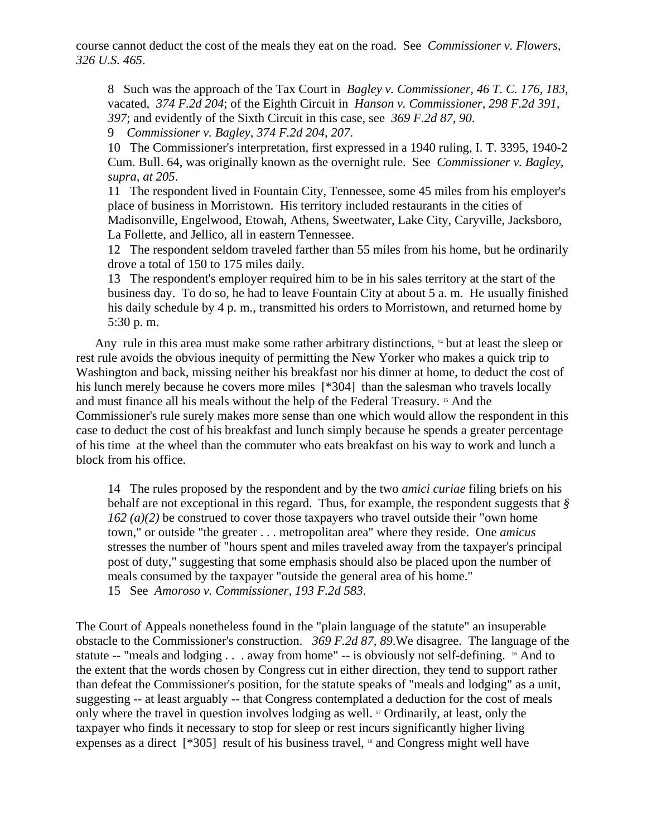course cannot deduct the cost of the meals they eat on the road. See *Commissioner v. Flowers, 326 U.S. 465*.

8 Such was the approach of the Tax Court in *Bagley v. Commissioner, 46 T. C. 176, 183*, vacated, *374 F.2d 204*; of the Eighth Circuit in *Hanson v. Commissioner, 298 F.2d 391, 397*; and evidently of the Sixth Circuit in this case, see *369 F.2d 87, 90*.

9 *Commissioner v. Bagley, 374 F.2d 204, 207*.

10 The Commissioner's interpretation, first expressed in a 1940 ruling, I. T. 3395, 1940-2 Cum. Bull. 64, was originally known as the overnight rule. See *Commissioner v. Bagley, supra, at 205*.

11 The respondent lived in Fountain City, Tennessee, some 45 miles from his employer's place of business in Morristown. His territory included restaurants in the cities of Madisonville, Engelwood, Etowah, Athens, Sweetwater, Lake City, Caryville, Jacksboro, La Follette, and Jellico, all in eastern Tennessee.

12 The respondent seldom traveled farther than 55 miles from his home, but he ordinarily drove a total of 150 to 175 miles daily.

13 The respondent's employer required him to be in his sales territory at the start of the business day. To do so, he had to leave Fountain City at about 5 a. m. He usually finished his daily schedule by 4 p. m., transmitted his orders to Morristown, and returned home by 5:30 p. m.

Any rule in this area must make some rather arbitrary distinctions, <sup>14</sup> but at least the sleep or rest rule avoids the obvious inequity of permitting the New Yorker who makes a quick trip to Washington and back, missing neither his breakfast nor his dinner at home, to deduct the cost of his lunch merely because he covers more miles [\*304] than the salesman who travels locally and must finance all his meals without the help of the Federal Treasury. 15 And the Commissioner's rule surely makes more sense than one which would allow the respondent in this case to deduct the cost of his breakfast and lunch simply because he spends a greater percentage of his time at the wheel than the commuter who eats breakfast on his way to work and lunch a block from his office.

14 The rules proposed by the respondent and by the two *amici curiae* filing briefs on his behalf are not exceptional in this regard. Thus, for example, the respondent suggests that *§ 162 (a)(2)* be construed to cover those taxpayers who travel outside their "own home town," or outside "the greater . . . metropolitan area" where they reside. One *amicus* stresses the number of "hours spent and miles traveled away from the taxpayer's principal post of duty," suggesting that some emphasis should also be placed upon the number of meals consumed by the taxpayer "outside the general area of his home." 15 See *Amoroso v. Commissioner, 193 F.2d 583*.

The Court of Appeals nonetheless found in the "plain language of the statute" an insuperable obstacle to the Commissioner's construction. *369 F.2d 87, 89*.We disagree. The language of the statute -- "meals and lodging . . . away from home" -- is obviously not self-defining. <sup>16</sup> And to the extent that the words chosen by Congress cut in either direction, they tend to support rather than defeat the Commissioner's position, for the statute speaks of "meals and lodging" as a unit, suggesting -- at least arguably -- that Congress contemplated a deduction for the cost of meals only where the travel in question involves lodging as well. 17 Ordinarily, at least, only the taxpayer who finds it necessary to stop for sleep or rest incurs significantly higher living expenses as a direct [\*305] result of his business travel, <sup>18</sup> and Congress might well have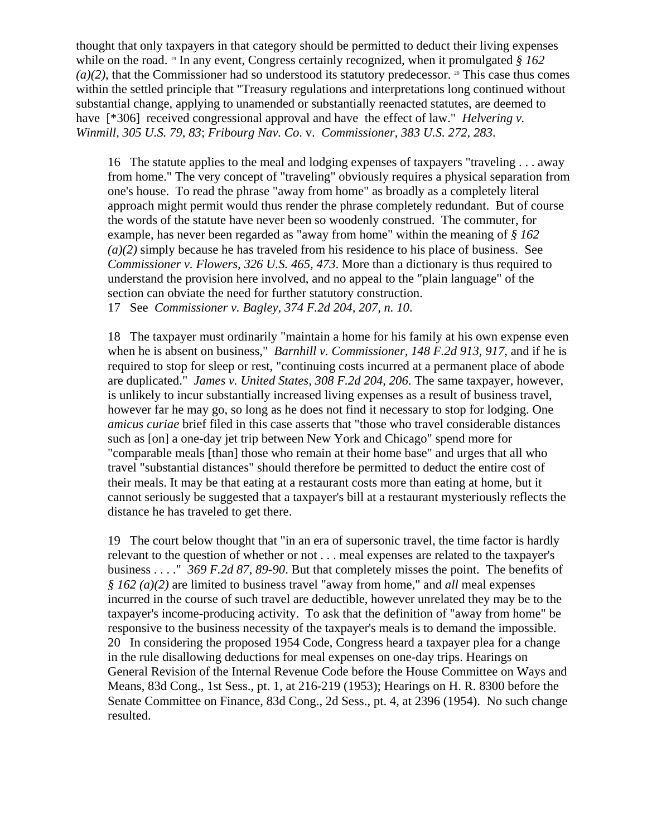thought that only taxpayers in that category should be permitted to deduct their living expenses while on the road. 19 In any event, Congress certainly recognized, when it promulgated *§ 162*   $(a)(2)$ , that the Commissioner had so understood its statutory predecessor. <sup>20</sup> This case thus comes within the settled principle that "Treasury regulations and interpretations long continued without substantial change, applying to unamended or substantially reenacted statutes, are deemed to have [\*306] received congressional approval and have the effect of law." *Helvering v. Winmill, 305 U.S. 79, 83*; *Fribourg Nav. Co*. v. *Commissioner, 383 U.S. 272, 283*.

16 The statute applies to the meal and lodging expenses of taxpayers "traveling . . . away from home." The very concept of "traveling" obviously requires a physical separation from one's house. To read the phrase "away from home" as broadly as a completely literal approach might permit would thus render the phrase completely redundant. But of course the words of the statute have never been so woodenly construed. The commuter, for example, has never been regarded as "away from home" within the meaning of *§ 162 (a)(2)* simply because he has traveled from his residence to his place of business. See *Commissioner v. Flowers, 326 U.S. 465, 473*. More than a dictionary is thus required to understand the provision here involved, and no appeal to the "plain language" of the section can obviate the need for further statutory construction. 17 See *Commissioner v. Bagley, 374 F.2d 204, 207, n. 10*.

18 The taxpayer must ordinarily "maintain a home for his family at his own expense even when he is absent on business," *Barnhill v. Commissioner, 148 F.2d 913, 917*, and if he is required to stop for sleep or rest, "continuing costs incurred at a permanent place of abode are duplicated." *James v. United States, 308 F.2d 204, 206*. The same taxpayer, however, is unlikely to incur substantially increased living expenses as a result of business travel, however far he may go, so long as he does not find it necessary to stop for lodging. One *amicus curiae* brief filed in this case asserts that "those who travel considerable distances such as [on] a one-day jet trip between New York and Chicago" spend more for "comparable meals [than] those who remain at their home base" and urges that all who travel "substantial distances" should therefore be permitted to deduct the entire cost of their meals. It may be that eating at a restaurant costs more than eating at home, but it cannot seriously be suggested that a taxpayer's bill at a restaurant mysteriously reflects the distance he has traveled to get there.

19 The court below thought that "in an era of supersonic travel, the time factor is hardly relevant to the question of whether or not . . . meal expenses are related to the taxpayer's business . . . ." *369 F.2d 87, 89-90*. But that completely misses the point. The benefits of *§ 162 (a)(2)* are limited to business travel "away from home," and *all* meal expenses incurred in the course of such travel are deductible, however unrelated they may be to the taxpayer's income-producing activity. To ask that the definition of "away from home" be responsive to the business necessity of the taxpayer's meals is to demand the impossible. 20 In considering the proposed 1954 Code, Congress heard a taxpayer plea for a change in the rule disallowing deductions for meal expenses on one-day trips. Hearings on General Revision of the Internal Revenue Code before the House Committee on Ways and Means, 83d Cong., 1st Sess., pt. 1, at 216-219 (1953); Hearings on H. R. 8300 before the Senate Committee on Finance, 83d Cong., 2d Sess., pt. 4, at 2396 (1954). No such change resulted.